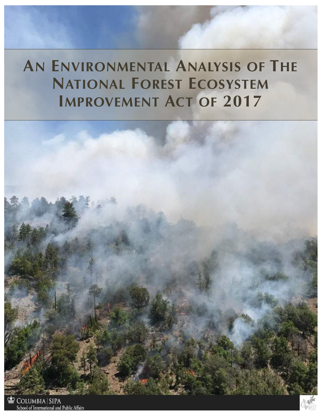# **AN ENVIRONMENTAL ANALYSIS OF THE NATIONAL FOREST ECOSYSTEM IMPROVEMENT ACT OF 2017**



COLUMBIA | SIPA qo School of International and Public Affairs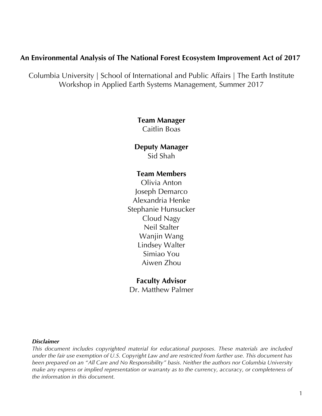# **An Environmental Analysis of The National Forest Ecosystem Improvement Act of 2017**

Columbia University | School of International and Public Affairs | The Earth Institute Workshop in Applied Earth Systems Management, Summer 2017

> **Team Manager** Caitlin Boas

**Deputy Manager** Sid Shah

# **Team Members**

Olivia Anton Joseph Demarco Alexandria Henke Stephanie Hunsucker Cloud Nagy Neil Stalter Wanjin Wang Lindsey Walter Simiao You Aiwen Zhou

# **Faculty Advisor**

Dr. Matthew Palmer

#### *Disclaimer*

*This document includes copyrighted material for educational purposes. These materials are included under the fair use exemption of U.S. Copyright Law and are restricted from further use. This document has been prepared on an "All Care and No Responsibility" basis. Neither the authors nor Columbia University make any express or implied representation or warranty as to the currency, accuracy, or completeness of the information in this document.*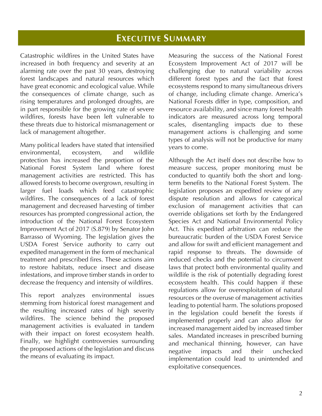# **EXECUTIVE SUMMARY**

Catastrophic wildfires in the United States have increased in both frequency and severity at an alarming rate over the past 30 years, destroying forest landscapes and natural resources which have great economic and ecological value. While the consequences of climate change, such as rising temperatures and prolonged droughts, are in part responsible for the growing rate of severe wildfires, forests have been left vulnerable to these threats due to historical mismanagement or lack of management altogether.

Many political leaders have stated that intensified environmental, ecosystem, and wildlife protection has increased the proportion of the National Forest System land where forest management activities are restricted. This has allowed forests to become overgrown, resulting in larger fuel loads which feed catastrophic wildfires. The consequences of a lack of forest management and decreased harvesting of timber resources has prompted congressional action, the introduction of the National Forest Ecosystem Improvement Act of 2017 (S.879) by Senator John Barrasso of Wyoming. The legislation gives the USDA Forest Service authority to carry out expedited management in the form of mechanical treatment and prescribed fires. These actions aim to restore habitats, reduce insect and disease infestations, and improve timber stands in order to decrease the frequency and intensity of wildfires.

This report analyzes environmental issues stemming from historical forest management and the resulting increased rates of high severity wildfires. The science behind the proposed management activities is evaluated in tandem with their impact on forest ecosystem health. Finally, we highlight controversies surrounding the proposed actions of the legislation and discuss the means of evaluating its impact.

Measuring the success of the National Forest Ecosystem Improvement Act of 2017 will be challenging due to natural variability across different forest types and the fact that forest ecosystems respond to many simultaneous drivers of change, including climate change. America's National Forests differ in type, composition, and resource availability, and since many forest health indicators are measured across long temporal scales, disentangling impacts due to these management actions is challenging and some types of analysis will not be productive for many years to come.

Although the Act itself does not describe how to measure success, proper monitoring must be conducted to quantify both the short and longterm benefits to the National Forest System. The legislation proposes an expedited review of any dispute resolution and allows for categorical exclusion of management activities that can override obligations set forth by the Endangered Species Act and National Environmental Policy Act. This expedited arbitration can reduce the bureaucratic burden of the USDA Forest Service and allow for swift and efficient management and rapid response to threats. The downside of reduced checks and the potential to circumvent laws that protect both environmental quality and wildlife is the risk of potentially degrading forest ecosystem health. This could happen if these regulations allow for overexploitation of natural resources or the overuse of management activities leading to potential harm. The solutions proposed in the legislation could benefit the forests if implemented properly and can also allow for increased management aided by increased timber sales. Mandated increases in prescribed burning and mechanical thinning, however, can have negative impacts and their unchecked implementation could lead to unintended and exploitative consequences.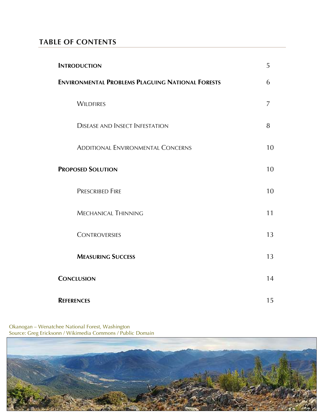# **TABLE OF CONTENTS**

| <b>INTRODUCTION</b>                                     | 5  |
|---------------------------------------------------------|----|
| <b>ENVIRONMENTAL PROBLEMS PLAGUING NATIONAL FORESTS</b> | 6  |
| <b>WILDFIRES</b>                                        | 7  |
| <b>DISEASE AND INSECT INFESTATION</b>                   | 8  |
| <b>ADDITIONAL ENVIRONMENTAL CONCERNS</b>                | 10 |
| <b>PROPOSED SOLUTION</b>                                | 10 |
| PRESCRIBED FIRE                                         | 10 |
| <b>MECHANICAL THINNING</b>                              | 11 |
| <b>CONTROVERSIES</b>                                    | 13 |
| <b>MEASURING SUCCESS</b>                                | 13 |
| <b>CONCLUSION</b>                                       | 14 |
| <b>REFERENCES</b>                                       | 15 |

Okanogan – Wenatchee National Forest, Washington Source: Greg Ericksonn / Wikimedia Commons / Public Domain

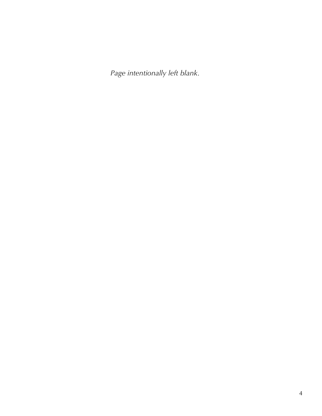*Page intentionally left blank.*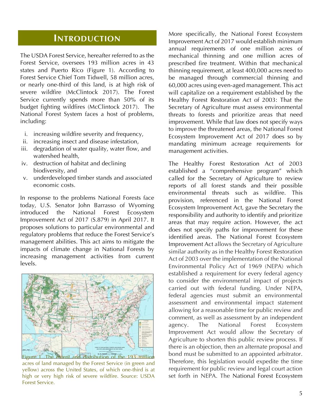# **INTRODUCTION**

The USDA Forest Service, hereafter referred to as the Forest Service, oversees 193 million acres in 43 states and Puerto Rico (Figure 1). According to Forest Service Chief Tom Tidwell, 58 million acres, or nearly one-third of this land, is at high risk of severe wildfire (McClintock 2017). The Forest Service currently spends more than 50% of its budget fighting wildfires (McClintock 2017). The National Forest System faces a host of problems, including:

- i. increasing wildfire severity and frequency,
- ii. increasing insect and disease infestation,
- iii. degradation of water quality, water flow, and watershed health,
- iv. destruction of habitat and declining biodiversity, and
- v. underdeveloped timber stands and associated economic costs.

In response to the problems National Forests face today, U.S. Senator John Barrasso of Wyoming introduced the National Forest Ecosystem Improvement Act of 2017 (S.879) in April 2017. It proposes solutions to particular environmental and regulatory problems that reduce the Forest Service's management abilities. This act aims to mitigate the impacts of climate change in National Forests by increasing management activities from current levels.



acres of land managed by the Forest Service (in green and yellow) across the United States, of which one-third is at high or very high risk of severe wildfire. Source: USDA Forest Service.

More specifically, the National Forest Ecosystem Improvement Act of 2017 would establish minimum annual requirements of one million acres of mechanical thinning and one million acres of prescribed fire treatment. Within that mechanical thinning requirement, at least 400,000 acres need to be managed through commercial thinning and 60,000 acres using even-aged management. This act will capitalize on a requirement established by the Healthy Forest Restoration Act of 2003: That the Secretary of Agriculture must assess environmental threats to forests and prioritize areas that need improvement. While that law does not specify ways to improve the threatened areas, the National Forest Ecosystem Improvement Act of 2017 does so by mandating minimum acreage requirements for management activities.

The Healthy Forest Restoration Act of 2003 established a "comprehensive program" which called for the Secretary of Agriculture to review reports of all forest stands and their possible environmental threats such as wildfire. This provision, referenced in the National Forest Ecosystem Improvement Act, gave the Secretary the responsibility and authority to identify and prioritize areas that may require action. However, the act does not specify paths for improvement for these identified areas. The National Forest Ecosystem Improvement Act allows the Secretary of Agriculture similar authority as in the Healthy Forest Restoration Act of 2003 over the implementation of the National Environmental Policy Act of 1969 (NEPA) which established a requirement for every federal agency to consider the environmental impact of projects carried out with federal funding. Under NEPA, federal agencies must submit an environmental assessment and environmental impact statement allowing for a reasonable time for public review and comment, as well as assessment by an independent agency. The National Forest Ecosystem Improvement Act would allow the Secretary of Agriculture to shorten this public review process. If there is an objection, then an alternate proposal and bond must be submitted to an appointed arbitrator. Therefore, this legislation would expedite the time requirement for public review and legal court action set forth in NEPA. The National Forest Ecosystem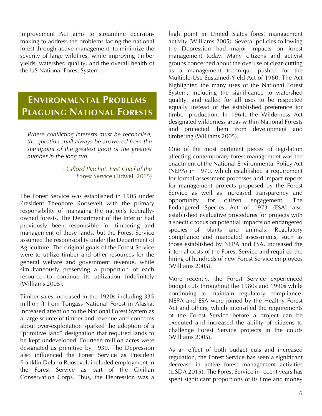Improvement Act aims to streamline decisionmaking to address the problems facing the national forest through active management, to minimize the severity of large wildfires, while improving timber yields, watershed quality, and the overall health of the US National Forest System.

# **ENVIRONMENTAL PROBLEMS PLAGUING NATIONAL FORESTS**

*Where conflicting interests must be reconciled, the question shall always be answered from the standpoint of the greatest good of the greatest number in the long run.*

> *- Gifford Pinchot, First Chief of the Forest Service* (Tidwell 2015)

The Forest Service was established in 1905 under President Theodore Roosevelt with the primary responsibility of managing the nation's federallyowned forests. The Department of the Interior had previously been responsible for timbering and management of these lands, but the Forest Service assumed the responsibility under the Department of Agriculture. The original goals of the Forest Service were to utilize timber and other resources for the general welfare and government revenue, while simultaneously preserving a proportion of each resource to continue its utilization indefinitely (Williams 2005).

Timber sales increased in the 1920s including 335 million ft from Tongass National Forest in Alaska. Increased attention to the National Forest System as a large source of timber and revenue and concerns about over-exploitation sparked the adoption of a "primitive land" designation that required lands to be kept undeveloped. Fourteen million acres were designated as primitive by 1939. The Depression also influenced the Forest Service as President Franklin Delano Roosevelt included employment in the Forest Service as part of the Civilian Conservation Corps. Thus, the Depression was a

high point in United States forest management activity (Williams 2005). Several policies following the Depression had major impacts on forest management today. Many citizens and activist groups concerned about the overuse of clear-cutting as a management technique pushed for the Multiple-Use Sustained-Yield Act of 1960. The Act highlighted the many uses of the National Forest System, including the significance to watershed quality, and called for all uses to be respected equally instead of the established preference for timber production. In 1964, the Wilderness Act designated wilderness areas within National Forests and protected them from development and timbering (Williams 2005).

One of the most pertinent pieces of legislation affecting contemporary forest management was the enactment of the National Environmental Policy Act (NEPA) in 1970, which established a requirement for formal assessment processes and impact reports for management projects proposed by the Forest Service as well as increased transparency and<br>opportunity for citizen engagement. The opportunity for citizen engagement. The Endangered Species Act of 1973 (ESA) also established evaluative procedures for projects with a specific focus on potential impacts on endangered species of plants and animals. Regulatory compliance and mandated assessments, such as those established by NEPA and ESA, increased the internal costs of the Forest Service and required the hiring of hundreds of new Forest Service employees (Williams 2005).

More recently, the Forest Service experienced budget cuts throughout the 1980s and 1990s while continuing to maintain regulatory compliance. NEPA and ESA were joined by the Healthy Forest Act and others, which intensified the requirements of the Forest Service before a project can be executed and increased the ability of citizens to challenge Forest Service projects in the courts (Williams 2005).

As an effect of both budget cuts and increased regulation, the Forest Service has seen a significant decrease in active forest management activities (USDA 2015). The Forest Service in recent years has spent significant proportions of its time and money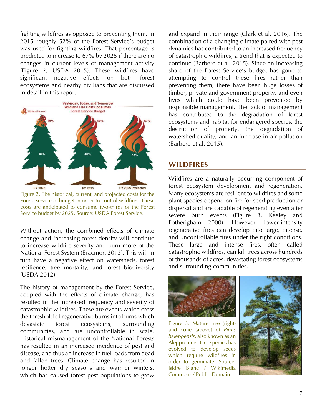fighting wildfires as opposed to preventing them. In 2015 roughly 52% of the Forest Service's budget was used for fighting wildfires. That percentage is predicted to increase to 67% by 2025 if there are no changes in current levels of management activity (Figure 2, USDA 2015). These wildfires have significant negative effects on both forest ecosystems and nearby civilians that are discussed in detail in this report.



Figure 2. The historical, current, and projected costs for the Forest Service to budget in order to control wildfires. These costs are anticipated to consume two-thirds of the Forest Service budget by 2025. Source: USDA Forest Service.

Without action, the combined effects of climate change and increasing forest density will continue to increase wildfire severity and burn more of the National Forest System (Bracmort 2013). This will in turn have a negative effect on watersheds, forest resilience, tree mortality, and forest biodiversity (USDA 2012).

The history of management by the Forest Service, coupled with the effects of climate change, has resulted in the increased frequency and severity of catastrophic wildfires. These are events which cross the threshold of regenerative burns into burns which devastate forest ecosystems, surrounding communities, and are uncontrollable in scale. Historical mismanagement of the National Forests has resulted in an increased incidence of pest and disease, and thus an increase in fuel loads from dead and fallen trees. Climate change has resulted in longer hotter dry seasons and warmer winters, which has caused forest pest populations to grow

and expand in their range (Clark et al. 2016). The combination of a changing climate paired with pest dynamics has contributed to an increased frequency of catastrophic wildfires, a trend that is expected to continue (Barbero et al. 2015). Since an increasing share of the Forest Service's budget has gone to attempting to control these fires rather than preventing them, there have been huge losses of timber, private and government property, and even lives which could have been prevented by responsible management. The lack of management has contributed to the degradation of forest ecosystems and habitat for endangered species, the destruction of property, the degradation of watershed quality, and an increase in air pollution (Barbero et al. 2015).

# **WILDFIRES**

Wildfires are a naturally occurring component of forest ecosystem development and regeneration. Many ecosystems are resilient to wildfires and some plant species depend on fire for seed production or dispersal and are capable of regenerating even after severe burn events (Figure 3, Keeley and Fotherigham 2000). However, lower-intensity regenerative fires can develop into large, intense, and uncontrollable fires under the right conditions. These large and intense fires, often called catastrophic wildfires, can kill trees across hundreds of thousands of acres, devastating forest ecosystems and surrounding communities.



Figure 3. Mature tree (right) and cone (above) of *Pinus haleppensis*, also known as an Aleppo pine. This species has evolved to develop seeds which require wildfires in order to germinate. Source: Isidre Blanc / Wikimedia Commons / Public Domain.

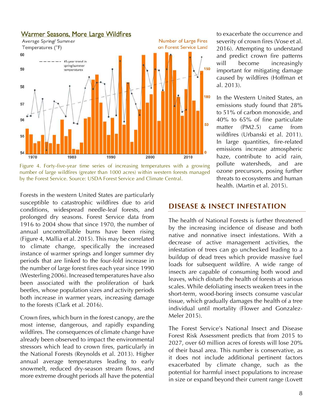

Figure 4. Forty-five-year time series of increasing temperatures with a growing number of large wildfires (greater than 1000 acres) within western forests managed by the Forest Service. Source: USDA Forest Service and Climate Central.

Forests in the western United States are particularly susceptible to catastrophic wildfires due to arid conditions, widespread needle-leaf forests, and prolonged dry seasons. Forest Service data from 1916 to 2004 show that since 1970, the number of annual uncontrollable burns have been rising (Figure 4, Mallia et al. 2015). This may be correlated to climate change, specifically the increased instance of warmer springs and longer summer dry periods that are linked to the four-fold increase in the number of large forest fires each year since 1990 (Westerling 2006). Increased temperatures have also been associated with the proliferation of bark beetles, whose population sizes and activity periods both increase in warmer years, increasing damage to the forests (Clark et al. 2016).

Crown fires, which burn in the forest canopy, are the most intense, dangerous, and rapidly expanding wildfires. The consequences of climate change have already been observed to impact the environmental stressors which lead to crown fires, particularly in the National Forests (Reynolds et al. 2013). Higher annual average temperatures leading to early snowmelt, reduced dry-season stream flows, and more extreme drought periods all have the potential to exacerbate the occurrence and severity of crown fires (Vose et al. 2016). Attempting to understand and predict crown fire patterns will become increasingly important for mitigating damage caused by wildfires (Hoffman et al. 2013).

In the Western United States, an emissions study found that 28% to 51% of carbon monoxide, and 40% to 65% of fine particulate matter (PM2.5) came from wildfires (Urbanski et al. 2011). In large quantities, fire-related emissions increase atmospheric haze, contribute to acid rain, pollute watersheds, and are ozone precursors, posing further threats to ecosystems and human health. (Martin et al. 2015).

# **DISEASE & INSECT INFESTATION**

The health of National Forests is further threatened by the increasing incidence of disease and both native and nonnative insect infestations. With a decrease of active management activities, the infestation of trees can go unchecked leading to a buildup of dead trees which provide massive fuel loads for subsequent wildfire. A wide range of insects are capable of consuming both wood and leaves, which disturb the health of forests at various scales. While defoliating insects weaken trees in the short-term, wood-boring insects consume vascular tissue, which gradually damages the health of a tree individual until mortality (Flower and Gonzalez-Meler 2015).

The Forest Service's National Insect and Disease Forest Risk Assessment predicts that from 2015 to 2027, over 60 million acres of forests will lose 20% of their basal area. This number is conservative, as it does not include additional pertinent factors exacerbated by climate change, such as the potential for harmful insect populations to increase in size or expand beyond their current range (Lovett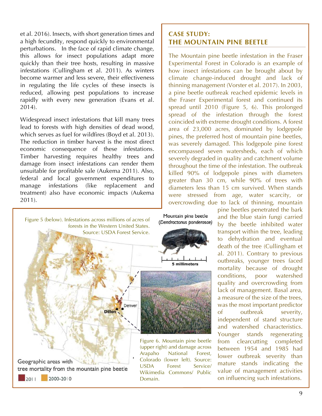et al. 2016). Insects, with short generation times and a high fecundity, respond quickly to environmental perturbations. In the face of rapid climate change, this allows for insect populations adapt more quickly than their tree hosts, resulting in massive infestations (Cullingham et al. 2011). As winters become warmer and less severe, their effectiveness in regulating the life cycles of these insects is reduced, allowing pest populations to increase rapidly with every new generation (Evans et al. 2014).

Widespread insect infestations that kill many trees lead to forests with high densities of dead wood, which serves as fuel for wildfires (Boyd et al. 2013). The reduction in timber harvest is the most direct economic consequence of these infestations. Timber harvesting requires healthy trees and damage from insect infestations can render them unsuitable for profitable sale (Aukema 2011). Also, federal and local government expenditures to manage infestations (like replacement and treatment) also have economic impacts (Aukema 2011).



# **CASE STUDY: THE MOUNTAIN PINE BEETLE**

The Mountain pine beetle infestation in the Fraser Experimental Forest in Colorado is an example of how insect infestations can be brought about by climate change-induced drought and lack of thinning management (Vorster et al. 2017). In 2003, a pine beetle outbreak reached epidemic levels in the Fraser Experimental forest and continued its spread until 2010 (Figure 5, 6). This prolonged spread of the infestation through the forest coincided with extreme drought conditions. A forest area of 23,000 acres, dominated by lodgepole pines, the preferred host of mountain pine beetles, was severely damaged. This lodgepole pine forest encompassed seven watersheds, each of which severely degraded in quality and catchment volume throughout the time of the infestation. The outbreak killed 90% of lodgepole pines with diameters greater than 30 cm, while 90% of trees with diameters less than 15 cm survived. When stands were stressed from age, water scarcity, or overcrowding due to lack of thinning, mountain

pine beetles penetrated the bark and the blue stain fungi carried by the beetle inhibited water transport within the tree, leading to dehydration and eventual death of the tree (Cullingham et al. 2011). Contrary to previous outbreaks, younger trees faced mortality because of drought conditions, poor watershed quality and overcrowding from lack of management. Basal area, a measure of the size of the trees, was the most important predictor of outbreak severity, independent of stand structure and watershed characteristics. Younger stands regenerating from clearcutting completed between 1954 and 1985 had lower outbreak severity than mature stands indicating the value of management activities on influencing such infestations.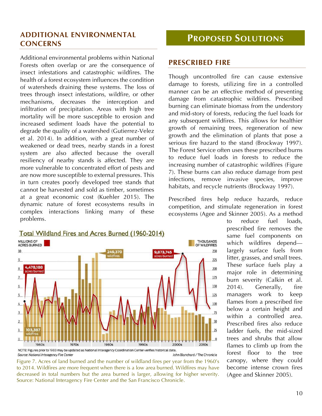# **ADDITIONAL ENVIRONMENTAL CONCERNS**

Additional environmental problems within National Forests often overlap or are the consequence of insect infestations and catastrophic wildfires. The health of a forest ecosystem influences the condition of watersheds draining these systems. The loss of trees through insect infestations, wildfire, or other mechanisms, decreases the interception and infiltration of precipitation. Areas with high tree mortality will be more susceptible to erosion and increased sediment loads have the potential to degrade the quality of a watershed (Gutierrez-Velez et al. 2014). In addition, with a great number of weakened or dead trees, nearby stands in a forest system are also affected because the overall resiliency of nearby stands is affected. They are more vulnerable to concentrated effort of pests and are now more susceptible to external pressures. This in turn creates poorly developed tree stands that cannot be harvested and sold as timber, sometimes at a great economic cost (Kuehler 2015). The dynamic nature of forest ecosystems results in complex interactions linking many of these problems.

#### Total Wildland Fires and Acres Burned (1960-2014)



Source: National Interagency Fire Center

Figure 7. Acres of land burned and the number of wildland fires per year from the 1960's to 2014. Wildfires are more frequent when there is a low area burned. Wildfires may have decreased in total numbers but the area burned is larger, allowing for higher severity. Source: National Interagency Fire Center and the San Francisco Chronicle.

**PROPOSED SOLUTIONS**

#### **PRESCRIBED FIRE**

Though uncontrolled fire can cause extensive damage to forests, utilizing fire in a controlled manner can be an effective method of preventing damage from catastrophic wildfires. Prescribed burning can eliminate biomass from the understory and mid-story of forests, reducing the fuel loads for any subsequent wildfires. This allows for healthier growth of remaining trees, regeneration of new growth and the elimination of plants that pose a serious fire hazard to the stand (Brockway 1997). The Forest Service often uses these prescribed burns to reduce fuel loads in forests to reduce the increasing number of catastrophic wildfires (Figure 7). These burns can also reduce damage from pest infections, remove invasive species, improve habitats, and recycle nutrients (Brockway 1997).

Prescribed fires help reduce hazards, reduce competition, and stimulate regeneration in forest ecosystems (Agee and Skinner 2005). As a method

> to reduce fuel loads, prescribed fire removes the same fuel components on which wildfires depend largely surface fuels from litter, grasses, and small trees. These surface fuels play a major role in determining burn severity (Calkin et al. 2014). Generally, fire managers work to keep flames from a prescribed fire below a certain height and within a controlled area. Prescribed fires also reduce ladder fuels, the mid-sized trees and shrubs that allow flames to climb up from the forest floor to the tree canopy, where they could become intense crown fires (Agee and Skinner 2005).

John Blanchard / The Chronicle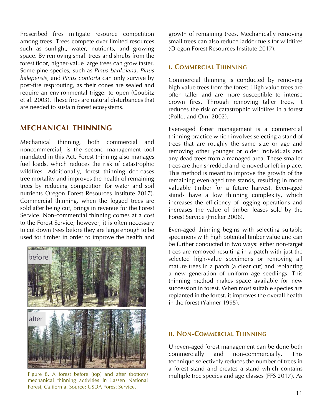Prescribed fires mitigate resource competition among trees. Trees compete over limited resources such as sunlight, water, nutrients, and growing space. By removing small trees and shrubs from the forest floor, higher-value large trees can grow faster. Some pine species, such as *Pinus banksiana*, *Pinus halepensis*, and *Pinus contorta* can only survive by post-fire resprouting, as their cones are sealed and require an environmental trigger to open (Goubitz et al. 2003). These fires are natural disturbances that are needed to sustain forest ecosystems.

# **MECHANICAL THINNING**

Mechanical thinning, both commercial and noncommercial, is the second management tool mandated in this Act. Forest thinning also manages fuel loads, which reduces the risk of catastrophic wildfires. Additionally, forest thinning decreases tree mortality and improves the health of remaining trees by reducing competition for water and soil nutrients Oregon Forest Resources Institute 2017). Commercial thinning, when the logged trees are sold after being cut, brings in revenue for the Forest Service. Non-commercial thinning comes at a cost to the Forest Service; however, it is often necessary to cut down trees before they are large enough to be used for timber in order to improve the health and



mechanical thinning activities in Lassen National Forest, California. Source: USDA Forest Service.

growth of remaining trees. Mechanically removing small trees can also reduce ladder fuels for wildfires (Oregon Forest Resources Institute 2017).

#### **I. COMMERCIAL THINNING**

Commercial thinning is conducted by removing high value trees from the forest. High value trees are often taller and are more susceptible to intense crown fires. Through removing taller trees, it reduces the risk of catastrophic wildfires in a forest (Pollet and Omi 2002).

Even-aged forest management is a commercial thinning practice which involves selecting a stand of trees that are roughly the same size or age and removing other younger or older individuals and any dead trees from a managed area. These smaller trees are then shredded and removed or left in place. This method is meant to improve the growth of the remaining even-aged tree stands, resulting in more valuable timber for a future harvest. Even-aged stands have a low thinning complexity, which increases the efficiency of logging operations and increases the value of timber leases sold by the Forest Service (Fricker 2006).

Even-aged thinning begins with selecting suitable specimens with high potential timber value and can be further conducted in two ways: either non-target trees are removed resulting in a patch with just the selected high-value specimens or removing all mature trees in a patch (a clear cut) and replanting a new generation of uniform age seedlings. This thinning method makes space available for new succession in forest. When most suitable species are replanted in the forest, it improves the overall health in the forest (Yahner 1995).

#### **II. NON-COMMERCIAL THINNING**

Uneven-aged forest management can be done both commercially and non-commercially. This technique selectively reduces the number of trees in a forest stand and creates a stand which contains Figure 8. A forest before (top) and after (bottom) multiple tree species and age classes (FFS 2017). As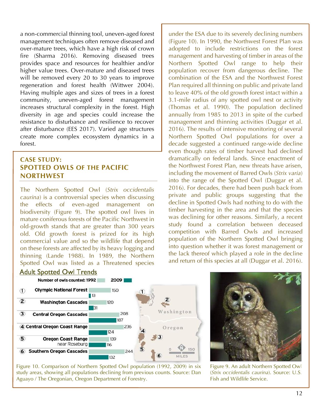a non-commercial thinning tool, uneven-aged forest management techniques often remove diseased and over-mature trees, which have a high risk of crown fire (Sharma 2016). Removing diseased trees provides space and resources for healthier and/or higher value trees. Over-mature and diseased trees will be removed every 20 to 30 years to improve regeneration and forest health (Wittwer 2004). Having multiple ages and sizes of trees in a forest community, uneven-aged forest management increases structural complexity in the forest. High diversity in age and species could increase the resistance to disturbance and resilience to recover after disturbance (EES 2017). Varied age structures create more complex ecosystem dynamics in a forest.

# **CASE STUDY: SPOTTED OWLS OF THE PACIFIC NORTHWEST**

**Adult Spotted Owl Trends** 

The Northern Spotted Owl (*Strix occidentalis caurina*) is a controversial species when discussing the effects of even-aged management on biodiversity (Figure 9). The spotted owl lives in mature coniferous forests of the Pacific Northwest in old-growth stands that are greater than 300 years old. Old growth forest is prized for its high commercial value and so the wildlife that depend on these forests are affected by its heavy logging and thinning (Lande 1988). In 1989, the Northern Spotted Owl was listed as a Threatened species

under the ESA due to its severely declining numbers (Figure 10). In 1990, the Northwest Forest Plan was adopted to include restrictions on the forest management and harvesting of timber in areas of the Northern Spotted Owl range to help their population recover from dangerous decline. The combination of the ESA and the Northwest Forest Plan required all thinning on public and private land to leave 40% of the old growth forest intact within a 3.1-mile radius of any spotted owl nest or activity (Thomas et al. 1990). The population declined annually from 1985 to 2013 in spite of the curbed management and thinning activities (Duggar et al. 2016). The results of intensive monitoring of several Northern Spotted Owl populations for over a decade suggested a continued range-wide decline even though rates of timber harvest had declined dramatically on federal lands. Since enactment of the Northwest Forest Plan, new threats have arisen, including the movement of Barred Owls (*Strix varia*) into the range of the Spotted Owl (Duggar et al. 2016). For decades, there had been push back from private and public groups suggesting that the decline in Spotted Owls had nothing to do with the timber harvesting in the area and that the species was declining for other reasons. Similarly, a recent study found a correlation between deceased competition with Barred Owls and increased population of the Northern Spotted Owl bringing into question whether it was forest management or the lack thereof which played a role in the decline and return of this species at all (Duggar et al. 2016).

#### Number of owls counted: 1992 2009 **Olympic National Forest**  $\left( \mathbf{\overline{1}}\right)$  $150$  $\blacksquare$  13  $\ddot{\mathbf{2}}$ **Washington Cascades** 120 Washington  $\circledcirc$ 208 **Central Oregon Cascades** 187 4 Central Oregon Coast Range 236 Oregon  $124$  $\overline{5}$ **Oregon Coast Range** 139 near Roseburg 116 150 6 Southern Oregon Cascades 244 132





Figure 9. An adult Northern Spotted Owl (*Strix occidentalis caurina*). Source: U.S. Fish and Wildlife Service.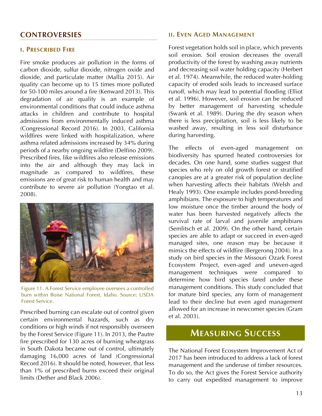# **CONTROVERSIES**

#### **I. PRESCRIBED FIRE**

Fire smoke produces air pollution in the forms of carbon dioxide, sulfur dioxide, nitrogen oxide and dioxide, and particulate matter (Mallia 2015). Air quality can become up to 15 times more polluted for 50-100 miles around a fire (Kenward 2013). This degradation of air quality is an example of environmental conditions that could induce asthma attacks in children and contribute to hospital admissions from environmentally induced asthma (Congressional Record 2016). In 2003, California wildfires were linked with hospitalization, where asthma related admissions increased by 34% during periods of a nearby ongoing wildfire (Delfino 2009). Prescribed fires, like wildfires also release emissions into the air and although they may lack in magnitude as compared to wildfires, these emissions are of great risk to human health and may contribute to severe air pollution (Yongtao et al. 2008).



Figure 11. A Forest Service employee oversees a controlled burn within Boise National Forest, Idaho. Source: USDA Forest Service.

Prescribed burning can escalate out of control given certain environmental hazards, such as dry conditions or high winds if not responsibly overseen by the Forest Service (Figure 11). In 2013, the Pautre fire prescribed for 130 acres of burning wheatgrass in South Dakota became out of control, ultimately damaging 16,000 acres of land (Congressional Record 2016). It should be noted, however, that less than 1% of prescribed burns exceed their original limits (Dether and Black 2006).

#### **II. EVEN AGED MANAGEMENT**

Forest vegetation holds soil in place, which prevents soil erosion. Soil erosion decreases the overall productivity of the forest by washing away nutrients and decreasing soil water holding capacity (Herbert et al. 1974). Meanwhile, the reduced water-holding capacity of eroded soils leads to increased surface runoff, which may lead to potential flooding (Elliot et al. 1996). However, soil erosion can be reduced by better management of harvesting schedule (Swank et al. 1989). During the dry season when there is less precipitation, soil is less likely to be washed away, resulting in less soil disturbance during harvesting.

The effects of even-aged management on biodiversity has spurred heated controversies for decades. On one hand, some studies suggest that species who rely on old growth forest or stratified canopies are at a greater risk of population decline when harvesting affects their habitats (Welsh and Healy 1993). One example includes pond-breeding amphibians. The exposure to high temperatures and low moisture once the timber around the body of water has been harvested negatively affects the survival rate of larval and juvenile amphibians (Semlitsch et al. 2009). On the other hand, certain species are able to adapt or succeed in even-aged managed sites, one reason may be because it mimics the effects of wildfire (Bergeronq 2004). In a study on bird species in the Missouri Ozark Forest Ecosystem Project, even-aged and uneven-aged management techniques were compared to determine how bird species fared under these management conditions. This study concluded that for mature bird species, any form of management lead to their decline but even aged management allowed for an increase in newcomer species (Gram et al. 2003).

# **MEASURING SUCCESS**

The National Forest Ecosystem Improvement Act of 2017 has been introduced to address a lack of forest management and the underuse of timber resources. To do so, the Act gives the Forest Service authority to carry out expedited management to improve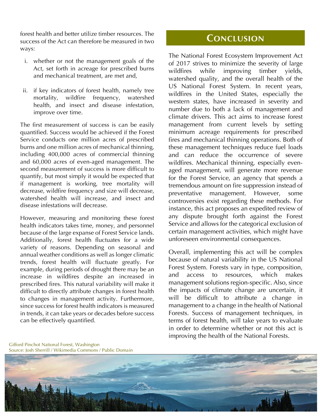forest health and better utilize timber resources. The success of the Act can therefore be measured in two ways:

- i. whether or not the management goals of the Act, set forth in acreage for prescribed burns and mechanical treatment, are met and,
- ii. if key indicators of forest health, namely tree mortality, wildfire frequency, watershed health, and insect and disease infestation, improve over time.

The first measurement of success is can be easily quantified. Success would be achieved if the Forest Service conducts one million acres of prescribed burns and one million acres of mechanical thinning, including 400,000 acres of commercial thinning and 60,000 acres of even-aged management. The second measurement of success is more difficult to quantify, but most simply it would be expected that if management is working, tree mortality will decrease, wildfire frequency and size will decrease, watershed health will increase, and insect and disease infestations will decrease.

However, measuring and monitoring these forest health indicators takes time, money, and personnel because of the large expanse of Forest Service lands. Additionally, forest health fluctuates for a wide variety of reasons. Depending on seasonal and annual weather conditions as well as longer climatic trends, forest health will fluctuate greatly. For example, during periods of drought there may be an increase in wildfires despite an increased in prescribed fires. This natural variability will make it difficult to directly attribute changes in forest health to changes in management activity. Furthermore, since success for forest health indicators is measured in trends, it can take years or decades before success can be effectively quantified.

# **CONCLUSION**

The National Forest Ecosystem Improvement Act of 2017 strives to minimize the severity of large wildfires while improving timber yields, watershed quality, and the overall health of the US National Forest System. In recent years, wildfires in the United States, especially the western states, have increased in severity and number due to both a lack of management and climate drivers. This act aims to increase forest management from current levels by setting minimum acreage requirements for prescribed fires and mechanical thinning operations. Both of these management techniques reduce fuel loads and can reduce the occurrence of severe wildfires. Mechanical thinning, especially evenaged management, will generate more revenue for the Forest Service, an agency that spends a tremendous amount on fire suppression instead of preventative management. However, some controversies exist regarding these methods. For instance, this act proposes an expedited review of any dispute brought forth against the Forest Service and allows for the categorical exclusion of certain management activities, which might have unforeseen environmental consequences.

Overall, implementing this act will be complex because of natural variability in the US National Forest System. Forests vary in type, composition, and access to resources, which makes management solutions region-specific. Also, since the impacts of climate change are uncertain, it will be difficult to attribute a change in management to a change in the health of National Forests. Success of management techniques, in terms of forest health, will take years to evaluate in order to determine whether or not this act is improving the health of the National Forests.

#### Gifford Pinchot National Forest, Washington Source: Josh Sherrill / Wikimedia Commons / Public Domain

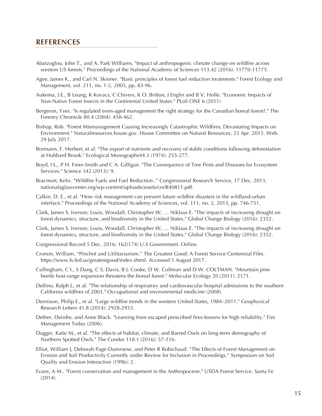### **REFERENCES**

- Abatzoglou, John T., and A. Park Williams. "Impact of anthropogenic climate change on wildfire across western US forests." Proceedings of the National Academy of Sciences 113.42 (2016): 11770-11775.
- Agee, James K., and Carl N. Skinner. "Basic principles of forest fuel reduction treatments." Forest Ecology and Management, vol. 211, no. 1-2, 2005, pp. 83-96.
- Aukema, J E., B Leung, K Kovacs, C Chivers, K O. Britton, J Englin and B V. Holle. "Economic Impacts of Non-Native Forest Insects in the Continental United States." PLoS ONE 6.(2011)
- Bergeron, Yves. "Is regulated even-aged management the right strategy for the Canadian boreal forest?." The Forestry Chronicle 80.4 (2004): 458-462.
- Bishop, Rob. "Forest Mismanagement Causing Increasingly Catastrophic Wildfires, Devastating Impacts on Environment." Naturalresources.house.gov. House Committee on Natural Resources, 23 Apr. 2015. Web. 29 July 2017.
- Bormann, F. Herbert, et al. "The export of nutrients and recovery of stable conditions following deforestation at Hubbard Brook." Ecological Monographs44.3 (1974): 255-277.
- Boyd, I L., P H. Freer-Smith and C A. Gilligan. "The Consequence of Tree Pests and Diseases for Ecosystem Services." Science 342.(2013): 9.
- Bracmort, Kelsi. "Wildfire Fuels and Fuel Reduction ." Congressional Research Service, 17 Dec. 2013, nationalaglawcenter.org/wp-content/uploads/assets/crs/R40811.pdf.
- Calkin, D. E., et al. "How risk management can prevent future wildfire disasters in the wildland-urban interface." Proceedings of the National Academy of Sciences, vol. 111, no. 2, 2013, pp. 746-751.
- Clark, James S, Iverson, Louis, Woodall, Christopher W, … Niklaus E. "The impacts of increasing drought on forest dynamics, structure, and biodiversity in the United States." Global Change Biology (2016): 2352.
- Clark, James S, Iverson, Louis, Woodall, Christopher W, … Niklaus E. "The impacts of increasing drought on forest dynamics, structure, and biodiversity in the United States." Global Change Biology (2016): 2352.
- Congressional Record 5 Dec. 2016: 162(174) U.S Government. Online.
- Cronon, William. "Pinchot and Utilitarianism." The Greatest Good: A Forest Service Centennial Film. https://www.fs.fed.us/greatestgood/index.shtml. Accessed 5 August 2017.
- Cullingham, C I., S Dang, C S. Davis, B J. Cooke, D W. Coltman and D W. COLTMAN. "Mountain pine beetle host-range expansion threatens the boreal forest." Molecular Ecology 20.(2011): 2171.
- Delfino, Ralph J., et al. "The relationship of respiratory and cardiovascular hospital admissions to the southern California wildfires of 2003." Occupational and environmental medicine (2008).
- Dennison, Philip E., et al. "Large wildfire trends in the western United States, 1984–2011." Geophysical Research Letters 41.8 (2014): 2928-2933.
- Dether, Deirdre, and Anne Black. "Learning from escaped prescribed fires-lessons for high reliability." Fire Management Today (2006).
- Dugger, Katie M., et al. "The effects of habitat, climate, and Barred Owls on long-term demography of Northern Spotted Owls." The Condor 118.1 (2016): 57-116.
- Elliot, William J, Deborah Page-Dumroese, and Peter R Robichaud. "The Effects of Forest Management on Erosion and Soil Productivity Currently under Review for Inclusion in Proceedings." Symposium on Soil Quality and Erosion Interaction (1996): 2.
- Evans, A M.. "Forest conservation and management in the Anthropocene." USDA Forest Service. Santa Fe (2014).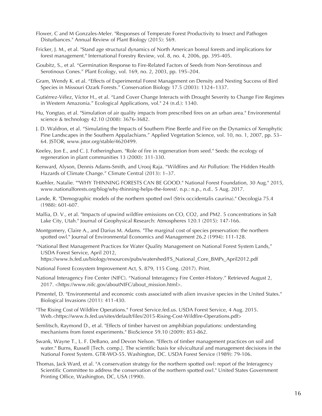- Flower, C and M Gonzales-Meler. "Responses of Temperate Forest Productivity to Insect and Pathogen Disturbances." Annual Review of Plant Biology (2015): 569.
- Fricker, J. M., et al. "Stand age structural dynamics of North American boreal forests and implications for forest management." International Forestry Review, vol. 8, no. 4, 2006, pp. 395-405.
- Goubitz, S., et al. "Germination Response to Fire-Related Factors of Seeds from Non-Serotinous and Serotinous Cones." Plant Ecology, vol. 169, no. 2, 2003, pp. 195–204.
- Gram, Wendy K. et al. "Effects of Experimental Forest Management on Density and Nesting Success of Bird Species in Missouri Ozark Forests." Conservation Biology 17.5 (2003): 1324–1337.
- Gutiérrez-Vélez, Víctor H., et al. "Land Cover Change Interacts with Drought Severity to Change Fire Regimes in Western Amazonia." Ecological Applications, vol." 24 (n.d.): 1340.
- Hu, Yongtao, et al. "Simulation of air quality impacts from prescribed fires on an urban area." Environmental science & technology 42.10 (2008): 3676-3682.
- J. D. Waldron, et al. "Simulating the Impacts of Southern Pine Beetle and Fire on the Dynamics of Xerophytic Pine Landscapes in the Southern Appalachians." Applied Vegetation Science, vol. 10, no. 1, 2007, pp. 53– 64. JSTOR, www.jstor.org/stable/4620499.
- Keeley, Jon E., and C. J. Fotheringham. "Role of fire in regeneration from seed." Seeds: the ecology of regeneration in plant communities 13 (2000): 311-330.
- Kenward, Alyson, Dennis Adams-Smith, and Urooj Raja. "Wildfires and Air Pollution: The Hidden Health Hazards of Climate Change." Climate Central (2013): 1–37.
- Kuehler, Natalie. ""WHY THINNING FORESTS CAN BE GOOD." National Forest Foundation, 30 Aug." 2015, www.nationalforests.org/blog/why-thinning-helps-the-forest/. n.p.: n.p., n.d.. 5 Aug. 2017.
- Lande, R. "Demographic models of the northern spotted owl (Strix occidentalis caurina)." Oecologia 75.4 (1988): 601-607.
- Mallia, D. V., et al. "Impacts of upwind wildfire emissions on CO, CO2, and PM2. 5 concentrations in Salt Lake City, Utah." Journal of Geophysical Research: Atmospheres 120.1 (2015): 147-166.
- Montgomery, Claire A., and Darius M. Adams. "The marginal cost of species preservation: the northern spotted owl." Journal of Environmental Economics and Management 26.2 (1994): 111-128.
- "National Best Management Practices for Water Quality Management on National Forest System Lands," USDA Forest Service, April 2012, https://www.fs.fed.us/biology/resources/pubs/watershed/FS\_National\_Core\_BMPs\_April2012.pdf
- National Forest Ecosystem Improvement Act, S. 879, 115 Cong. (2017). Print.
- National Interagency Fire Center (NIFC). "National Interagency Fire Center-History." Retrieved August 2, 2017. <https://www.nifc.gov/aboutNIFC/about\_mission.html>.
- Pimentel, D. "Environmental and economic costs associated with alien invasive species in the United States." Biological Invasions (2011): 411-430.
- "The Rising Cost of Wildfire Operations." Forest Service.fed.us. USDA Forest Service, 4 Aug. 2015. Web.<https://www.fs.fed.us/sites/default/files/2015-Rising-Cost-Wildfire-Operations.pdf>
- Semlitsch, Raymond D., et al. "Effects of timber harvest on amphibian populations: understanding mechanisms from forest experiments." BioScience 59.10 (2009): 853-862.
- Swank, Wayne T., L. F. DeBano, and Devon Nelson. "Effects of timber management practices on soil and water." Burns, Russell [Tech. comp.]. The scientific basis for silvicultural and management decisions in the National Forest System. GTR-WO-55. Washington, DC. USDA Forest Service (1989): 79-106.
- Thomas, Jack Ward, et al. "A conservation strategy for the northern spotted owl: report of the Interagency Scientific Committee to address the conservation of the northern spotted owl." United States Government Printing Office, Washington, DC, USA (1990).